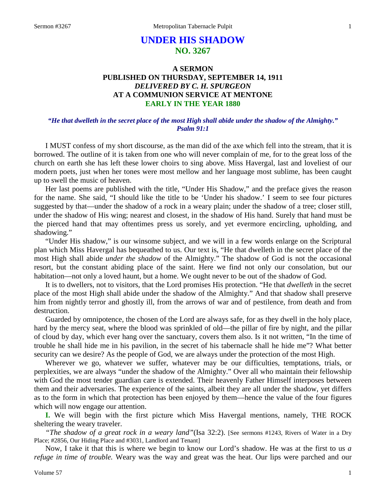# **UNDER HIS SHADOW NO. 3267**

# **A SERMON PUBLISHED ON THURSDAY, SEPTEMBER 14, 1911** *DELIVERED BY C. H. SPURGEON* **AT A COMMUNION SERVICE AT MENTONE EARLY IN THE YEAR 1880**

### *"He that dwelleth in the secret place of the most High shall abide under the shadow of the Almighty." Psalm 91:1*

I MUST confess of my short discourse, as the man did of the axe which fell into the stream, that it is borrowed. The outline of it is taken from one who will never complain of me, for to the great loss of the church on earth she has left these lower choirs to sing above. Miss Havergal, last and loveliest of our modern poets, just when her tones were most mellow and her language most sublime, has been caught up to swell the music of heaven.

Her last poems are published with the title, "Under His Shadow," and the preface gives the reason for the name. She said, "I should like the title to be 'Under his shadow.' I seem to see four pictures suggested by that—under the shadow of a rock in a weary plain; under the shadow of a tree; closer still, under the shadow of His wing; nearest and closest, in the shadow of His hand. Surely that hand must be the pierced hand that may oftentimes press us sorely, and yet evermore encircling, upholding, and shadowing."

"Under His shadow," is our winsome subject, and we will in a few words enlarge on the Scriptural plan which Miss Havergal has bequeathed to us. Our text is, "He that dwelleth in the secret place of the most High shall abide *under the shadow* of the Almighty." The shadow of God is not the occasional resort, but the constant abiding place of the saint. Here we find not only our consolation, but our habitation—not only a loved haunt, but a home. We ought never to be out of the shadow of God.

It is to dwellers, not to visitors, that the Lord promises His protection. "He that *dwelleth* in the secret place of the most High shall abide under the shadow of the Almighty." And that shadow shall preserve him from nightly terror and ghostly ill, from the arrows of war and of pestilence, from death and from destruction.

Guarded by omnipotence, the chosen of the Lord are always safe, for as they dwell in the holy place, hard by the mercy seat, where the blood was sprinkled of old—the pillar of fire by night, and the pillar of cloud by day, which ever hang over the sanctuary, covers them also. Is it not written, "In the time of trouble he shall hide me in his pavilion, in the secret of his tabernacle shall he hide me"? What better security can we desire? As the people of God, we are always under the protection of the most High.

Wherever we go, whatever we suffer, whatever may be our difficulties, temptations, trials, or perplexities, we are always "under the shadow of the Almighty." Over all who maintain their fellowship with God the most tender guardian care is extended. Their heavenly Father Himself interposes between them and their adversaries. The experience of the saints, albeit they are all under the shadow, yet differs as to the form in which that protection has been enjoyed by them—hence the value of the four figures which will now engage our attention.

**I.** We will begin with the first picture which Miss Havergal mentions, namely, THE ROCK sheltering the weary traveler.

*"The shadow of a great rock in a weary land"*(Isa 32:2). [See sermons #1243, Rivers of Water in a Dry Place; #2856, Our Hiding Place and #3031, Landlord and Tenant]

Now, I take it that this is where we begin to know our Lord's shadow. He was at the first to us *a refuge in time of trouble.* Weary was the way and great was the heat. Our lips were parched and our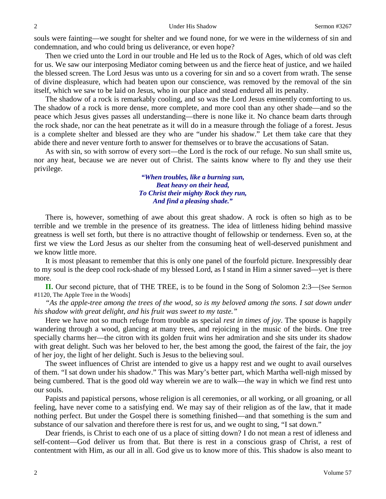souls were fainting—we sought for shelter and we found none, for we were in the wilderness of sin and condemnation, and who could bring us deliverance, or even hope?

Then we cried unto the Lord in our trouble and He led us to the Rock of Ages, which of old was cleft for us. We saw our interposing Mediator coming between us and the fierce heat of justice, and we hailed the blessed screen. The Lord Jesus was unto us a covering for sin and so a covert from wrath. The sense of divine displeasure, which had beaten upon our conscience, was removed by the removal of the sin itself, which we saw to be laid on Jesus, who in our place and stead endured all its penalty.

The shadow of a rock is remarkably cooling, and so was the Lord Jesus eminently comforting to us. The shadow of a rock is more dense, more complete, and more cool than any other shade—and so the peace which Jesus gives passes all understanding—there is none like it. No chance beam darts through the rock shade, nor can the heat penetrate as it will do in a measure through the foliage of a forest. Jesus is a complete shelter and blessed are they who are "under his shadow." Let them take care that they abide there and never venture forth to answer for themselves or to brave the accusations of Satan.

As with sin, so with sorrow of every sort—the Lord is the rock of our refuge. No sun shall smite us, nor any heat, because we are never out of Christ. The saints know where to fly and they use their privilege.

> *"When troubles, like a burning sun, Beat heavy on their head, To Christ their mighty Rock they run, And find a pleasing shade."*

There is, however, something of awe about this great shadow. A rock is often so high as to be terrible and we tremble in the presence of its greatness. The idea of littleness hiding behind massive greatness is well set forth, but there is no attractive thought of fellowship or tenderness. Even so, at the first we view the Lord Jesus as our shelter from the consuming heat of well-deserved punishment and we know little more.

It is most pleasant to remember that this is only one panel of the fourfold picture. Inexpressibly dear to my soul is the deep cool rock-shade of my blessed Lord, as I stand in Him a sinner saved—yet is there more.

**II.** Our second picture, that of THE TREE, is to be found in the Song of Solomon 2:3—[See Sermon #1120, The Apple Tree in the Woods]

*"As the apple-tree among the trees of the wood, so is my beloved among the sons. I sat down under his shadow with great delight, and his fruit was sweet to my taste."*

Here we have not so much refuge from trouble as special *rest in times of joy*. The spouse is happily wandering through a wood, glancing at many trees, and rejoicing in the music of the birds. One tree specially charms her—the citron with its golden fruit wins her admiration and she sits under its shadow with great delight. Such was her beloved to her, the best among the good, the fairest of the fair, the joy of her joy, the light of her delight. Such is Jesus to the believing soul.

The sweet influences of Christ are intended to give us a happy rest and we ought to avail ourselves of them. "I sat down under his shadow." This was Mary's better part, which Martha well-nigh missed by being cumbered. That is the good old way wherein we are to walk—the way in which we find rest unto our souls.

Papists and papistical persons, whose religion is all ceremonies, or all working, or all groaning, or all feeling, have never come to a satisfying end. We may say of their religion as of the law, that it made nothing perfect. But under the Gospel there is something finished—and that something is the sum and substance of our salvation and therefore there is rest for us, and we ought to sing, "I sat down."

Dear friends, is Christ to each one of us a place of sitting down? I do not mean a rest of idleness and self-content—God deliver us from that. But there is rest in a conscious grasp of Christ, a rest of contentment with Him, as our all in all. God give us to know more of this. This shadow is also meant to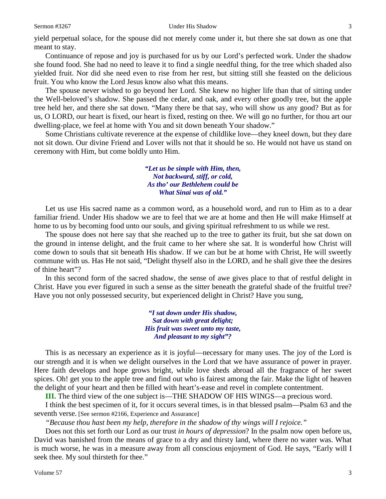yield perpetual solace, for the spouse did not merely come under it, but there she sat down as one that meant to stay.

Continuance of repose and joy is purchased for us by our Lord's perfected work. Under the shadow she found food. She had no need to leave it to find a single needful thing, for the tree which shaded also yielded fruit. Nor did she need even to rise from her rest, but sitting still she feasted on the delicious fruit. You who know the Lord Jesus know also what this means.

The spouse never wished to go beyond her Lord. She knew no higher life than that of sitting under the Well-beloved's shadow. She passed the cedar, and oak, and every other goodly tree, but the apple tree held her, and there she sat down. "Many there be that say, who will show us any good? But as for us, O LORD, our heart is fixed, our heart is fixed, resting on thee. We will go no further, for thou art our dwelling-place, we feel at home with You and sit down beneath Your shadow."

Some Christians cultivate reverence at the expense of childlike love—they kneel down, but they dare not sit down. Our divine Friend and Lover wills not that it should be so. He would not have us stand on ceremony with Him, but come boldly unto Him.

> *"Let us be simple with Him, then, Not backward, stiff, or cold, As tho' our Bethlehem could be What Sinai was of old."*

Let us use His sacred name as a common word, as a household word, and run to Him as to a dear familiar friend. Under His shadow we are to feel that we are at home and then He will make Himself at home to us by becoming food unto our souls, and giving spiritual refreshment to us while we rest.

The spouse does not here say that she reached up to the tree to gather its fruit, but she sat down on the ground in intense delight, and the fruit came to her where she sat. It is wonderful how Christ will come down to souls that sit beneath His shadow. If we can but be at home with Christ, He will sweetly commune with us. Has He not said, "Delight thyself also in the LORD, and he shall give thee the desires of thine heart"?

In this second form of the sacred shadow, the sense of awe gives place to that of restful delight in Christ. Have you ever figured in such a sense as the sitter beneath the grateful shade of the fruitful tree? Have you not only possessed security, but experienced delight in Christ? Have you sung,

> *"I sat down under His shadow, Sat down with great delight; His fruit was sweet unto my taste, And pleasant to my sight"?*

This is as necessary an experience as it is joyful—necessary for many uses. The joy of the Lord is our strength and it is when we delight ourselves in the Lord that we have assurance of power in prayer. Here faith develops and hope grows bright, while love sheds abroad all the fragrance of her sweet spices. Oh! get you to the apple tree and find out who is fairest among the fair. Make the light of heaven the delight of your heart and then be filled with heart's-ease and revel in complete contentment.

**III.** The third view of the one subject is—THE SHADOW OF HIS WINGS—a precious word.

I think the best specimen of it, for it occurs several times, is in that blessed psalm—Psalm 63 and the seventh verse. [See sermon #2166, Experience and Assurance]

*"Because thou hast been my help, therefore in the shadow of thy wings will I rejoice."*

Does not this set forth our Lord as our trust *in hours of depression*? In the psalm now open before us, David was banished from the means of grace to a dry and thirsty land, where there no water was. What is much worse, he was in a measure away from all conscious enjoyment of God. He says, "Early will I seek thee. My soul thirsteth for thee."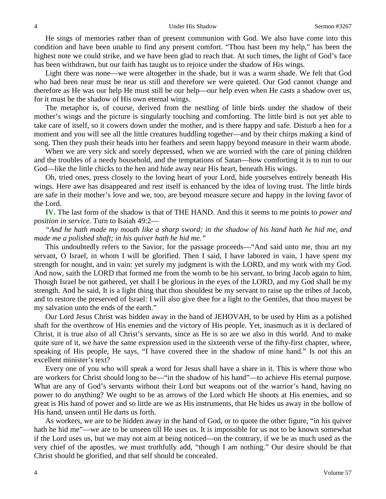He sings of memories rather than of present communion with God. We also have come into this condition and have been unable to find any present comfort. "Thou hast been my help," has been the highest note we could strike, and we have been glad to reach that. At such times, the light of God's face has been withdrawn, but our faith has taught us to rejoice under the shadow of His wings.

Light there was none—we were altogether in the shade, but it was a warm shade. We felt that God who had been near must be near us still and therefore we were quieted. Our God cannot change and therefore as He was our help He must still be our help—our help even when He casts a shadow over us, for it must be the shadow of His own eternal wings.

The metaphor is, of course, derived from the nestling of little birds under the shadow of their mother's wings and the picture is singularly touching and comforting. The little bird is not yet able to take care of itself, so it cowers down under the mother, and is there happy and safe. Disturb a hen for a moment and you will see all the little creatures huddling together—and by their chirps making a kind of song. Then they push their heads into her feathers and seem happy beyond measure in their warm abode.

When we are very sick and sorely depressed, when we are worried with the care of pining children and the troubles of a needy household, and the temptations of Satan—how comforting it is to run to our God—like the little chicks to the hen and hide away near His heart, beneath His wings.

Oh, tried ones, press closely to the loving heart of your Lord, hide yourselves entirely beneath His wings. Here awe has disappeared and rest itself is enhanced by the idea of loving trust. The little birds are safe in their mother's love and we, too, are beyond measure secure and happy in the loving favor of the Lord.

**IV.** The last form of the shadow is that of THE HAND. And this it seems to me points to *power and position in service.* Turn to Isaiah 49:2—

*"And he hath made my mouth like a sharp sword; in the shadow of his hand hath he hid me, and made me a polished shaft; in his quiver hath he hid me."*

This undoubtedly refers to the Savior, for the passage proceeds—"And said unto me, thou art my servant, O Israel, in whom I will be glorified. Then I said, I have labored in vain, I have spent my strength for nought, and in vain: yet surely my judgment is with the LORD, and my work with my God. And now, saith the LORD that formed me from the womb to be his servant, to bring Jacob again to him, Though Israel be not gathered, yet shall I be glorious in the eyes of the LORD, and my God shall be my strength. And he said, It is a light thing that thou shouldest be my servant to raise up the tribes of Jacob, and to restore the preserved of Israel: I will also give thee for a light to the Gentiles, that thou mayest be my salvation unto the ends of the earth."

Our Lord Jesus Christ was hidden away in the hand of JEHOVAH, to be used by Him as a polished shaft for the overthrow of His enemies and the victory of His people. Yet, inasmuch as it is declared of Christ, it is true also of all Christ's servants, since as He is so are we also in this world. And to make quite sure of it, we have the same expression used in the sixteenth verse of the fifty-first chapter, where, speaking of His people, He says, "I have covered thee in the shadow of mine hand." Is not this an excellent minister's text?

Every one of you who will speak a word for Jesus shall have a share in it. This is where those who are workers for Christ should long to be—"in the shadow of his hand"—to achieve His eternal purpose. What are any of God's servants without their Lord but weapons out of the warrior's hand, having no power to do anything? We ought to be as arrows of the Lord which He shoots at His enemies, and so great is His hand of power and so little are we as His instruments, that He hides us away in the hollow of His hand, unseen until He darts us forth.

As workers, we are to be hidden away in the hand of God, or to quote the other figure, "in his quiver hath he hid me"—we are to be unseen till He uses us. It is impossible for us not to be known somewhat if the Lord uses us, but we may not aim at being noticed—on the contrary, if we be as much used as the very chief of the apostles, we must truthfully add, "though I am nothing." Our desire should be that Christ should be glorified, and that self should be concealed.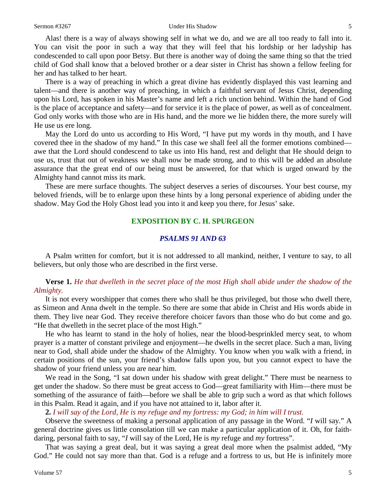#### Sermon #3267 Under His Shadow 5

Alas! there is a way of always showing self in what we do, and we are all too ready to fall into it. You can visit the poor in such a way that they will feel that his lordship or her ladyship has condescended to call upon poor Betsy. But there is another way of doing the same thing so that the tried child of God shall know that a beloved brother or a dear sister in Christ has shown a fellow feeling for her and has talked to her heart.

There is a way of preaching in which a great divine has evidently displayed this vast learning and talent—and there is another way of preaching, in which a faithful servant of Jesus Christ, depending upon his Lord, has spoken in his Master's name and left a rich unction behind. Within the hand of God is the place of acceptance and safety—and for service it is the place of power, as well as of concealment. God only works with those who are in His hand, and the more we lie hidden there, the more surely will He use us ere long.

May the Lord do unto us according to His Word, "I have put my words in thy mouth, and I have covered thee in the shadow of my hand." In this case we shall feel all the former emotions combined awe that the Lord should condescend to take us into His hand, rest and delight that He should deign to use us, trust that out of weakness we shall now be made strong, and to this will be added an absolute assurance that the great end of our being must be answered, for that which is urged onward by the Almighty hand cannot miss its mark.

These are mere surface thoughts. The subject deserves a series of discourses. Your best course, my beloved friends, will be to enlarge upon these hints by a long personal experience of abiding under the shadow. May God the Holy Ghost lead you into it and keep you there, for Jesus' sake.

#### **EXPOSITION BY C. H. SPURGEON**

## *PSALMS 91 AND 63*

A Psalm written for comfort, but it is not addressed to all mankind, neither, I venture to say, to all believers, but only those who are described in the first verse.

# **Verse 1.** *He that dwelleth in the secret place of the most High shall abide under the shadow of the Almighty.*

It is not every worshipper that comes there who shall be thus privileged, but those who dwell there, as Simeon and Anna dwelt in the temple. So there are some that abide in Christ and His words abide in them. They live near God. They receive therefore choicer favors than those who do but come and go. "He that dwelleth in the secret place of the most High."

He who has learnt to stand in the holy of holies, near the blood-besprinkled mercy seat, to whom prayer is a matter of constant privilege and enjoyment—he dwells in the secret place. Such a man, living near to God, shall abide under the shadow of the Almighty. You know when you walk with a friend, in certain positions of the sun, your friend's shadow falls upon you, but you cannot expect to have the shadow of your friend unless you are near him.

We read in the Song, "I sat down under his shadow with great delight." There must be nearness to get under the shadow. So there must be great access to God—great familiarity with Him—there must be something of the assurance of faith—before we shall be able to grip such a word as that which follows in this Psalm. Read it again, and if you have not attained to it, labor after it.

**2.** *I will say of the Lord, He is my refuge and my fortress: my God; in him will I trust.* 

Observe the sweetness of making a personal application of any passage in the Word. "*I* will say." A general doctrine gives us little consolation till we can make a particular application of it. Oh, for faithdaring, personal faith to say, "*I* will say of the Lord, He is *my* refuge and *my* fortress".

That was saying a great deal, but it was saying a great deal more when the psalmist added, "My God." He could not say more than that. God is a refuge and a fortress to us, but He is infinitely more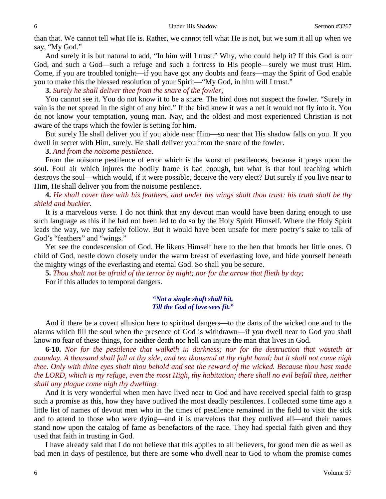than that. We cannot tell what He is. Rather, we cannot tell what He is not, but we sum it all up when we say, "My God."

And surely it is but natural to add, "In him will I trust." Why, who could help it? If this God is our God, and such a God—such a refuge and such a fortress to His people—surely we must trust Him. Come, if you are troubled tonight—if you have got any doubts and fears—may the Spirit of God enable you to make this the blessed resolution of your Spirit—"My God, in him will I trust."

**3.** *Surely he shall deliver thee from the snare of the fowler,*

You cannot see it. You do not know it to be a snare. The bird does not suspect the fowler. "Surely in vain is the net spread in the sight of any bird." If the bird knew it was a net it would not fly into it. You do not know your temptation, young man. Nay, and the oldest and most experienced Christian is not aware of the traps which the fowler is setting for him.

But surely He shall deliver you if you abide near Him—so near that His shadow falls on you. If you dwell in secret with Him, surely, He shall deliver you from the snare of the fowler.

**3.** *And from the noisome pestilence.* 

From the noisome pestilence of error which is the worst of pestilences, because it preys upon the soul. Foul air which injures the bodily frame is bad enough, but what is that foul teaching which destroys the soul—which would, if it were possible, deceive the very elect? But surely if you live near to Him, He shall deliver you from the noisome pestilence.

# **4.** *He shall cover thee with his feathers, and under his wings shalt thou trust: his truth shall be thy shield and buckler.*

It is a marvelous verse. I do not think that any devout man would have been daring enough to use such language as this if he had not been led to do so by the Holy Spirit Himself. Where the Holy Spirit leads the way, we may safely follow. But it would have been unsafe for mere poetry's sake to talk of God's "feathers" and "wings."

Yet see the condescension of God. He likens Himself here to the hen that broods her little ones. O child of God, nestle down closely under the warm breast of everlasting love, and hide yourself beneath the mighty wings of the everlasting and eternal God. So shall you be secure.

**5.** *Thou shalt not be afraid of the terror by night; nor for the arrow that flieth by day;*

For if this alludes to temporal dangers.

### *"Not a single shaft shall hit, Till the God of love sees fit."*

And if there be a covert allusion here to spiritual dangers—to the darts of the wicked one and to the alarms which fill the soul when the presence of God is withdrawn—if you dwell near to God you shall know no fear of these things, for neither death nor hell can injure the man that lives in God.

**6-10.** *Nor for the pestilence that walketh in darkness; nor for the destruction that wasteth at noonday. A thousand shall fall at thy side, and ten thousand at thy right hand; but it shall not come nigh thee. Only with thine eyes shalt thou behold and see the reward of the wicked. Because thou hast made the LORD, which is my refuge, even the most High, thy habitation; there shall no evil befall thee, neither shall any plague come nigh thy dwelling.*

And it is very wonderful when men have lived near to God and have received special faith to grasp such a promise as this, how they have outlived the most deadly pestilences. I collected some time ago a little list of names of devout men who in the times of pestilence remained in the field to visit the sick and to attend to those who were dying—and it is marvelous that they outlived all—and their names stand now upon the catalog of fame as benefactors of the race. They had special faith given and they used that faith in trusting in God.

I have already said that I do not believe that this applies to all believers, for good men die as well as bad men in days of pestilence, but there are some who dwell near to God to whom the promise comes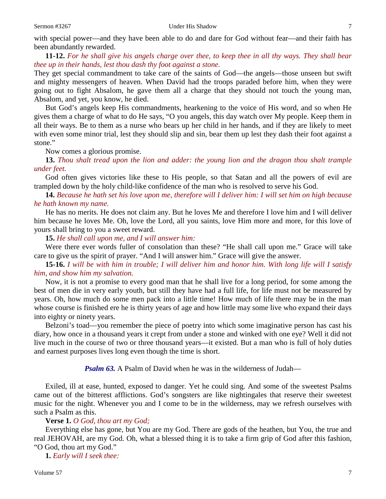with special power—and they have been able to do and dare for God without fear—and their faith has been abundantly rewarded.

**11-12.** *For he shall give his angels charge over thee, to keep thee in all thy ways. They shall bear thee up in their hands, lest thou dash thy foot against a stone.* 

They get special commandment to take care of the saints of God—the angels—those unseen but swift and mighty messengers of heaven. When David had the troops paraded before him, when they were going out to fight Absalom, he gave them all a charge that they should not touch the young man, Absalom, and yet, you know, he died.

But God's angels keep His commandments, hearkening to the voice of His word, and so when He gives them a charge of what to do He says, "O you angels, this day watch over My people. Keep them in all their ways. Be to them as a nurse who bears up her child in her hands, and if they are likely to meet with even some minor trial, lest they should slip and sin, bear them up lest they dash their foot against a stone."

Now comes a glorious promise.

**13.** *Thou shalt tread upon the lion and adder: the young lion and the dragon thou shalt trample under feet.* 

God often gives victories like these to His people, so that Satan and all the powers of evil are trampled down by the holy child-like confidence of the man who is resolved to serve his God.

**14.** *Because he hath set his love upon me, therefore will I deliver him: I will set him on high because he hath known my name.* 

He has no merits. He does not claim any. But he loves Me and therefore I love him and I will deliver him because he loves Me. Oh, love the Lord, all you saints, love Him more and more, for this love of yours shall bring to you a sweet reward.

**15.** *He shall call upon me, and I will answer him:*

Were there ever words fuller of consolation than these? "He shall call upon me." Grace will take care to give us the spirit of prayer. "And I will answer him." Grace will give the answer.

**15-16.** *I will be with him in trouble; I will deliver him and honor him. With long life will I satisfy him, and show him my salvation.* 

Now, it is not a promise to every good man that he shall live for a long period, for some among the best of men die in very early youth, but still they have had a full life, for life must not be measured by years. Oh, how much do some men pack into a little time! How much of life there may be in the man whose course is finished ere he is thirty years of age and how little may some live who expand their days into eighty or ninety years.

Belzoni's toad—you remember the piece of poetry into which some imaginative person has cast his diary, how once in a thousand years it crept from under a stone and winked with one eye? Well it did not live much in the course of two or three thousand years—it existed. But a man who is full of holy duties and earnest purposes lives long even though the time is short.

*Psalm 63.* A Psalm of David when he was in the wilderness of Judah—

Exiled, ill at ease, hunted, exposed to danger. Yet he could sing. And some of the sweetest Psalms came out of the bitterest afflictions. God's songsters are like nightingales that reserve their sweetest music for the night. Whenever you and I come to be in the wilderness, may we refresh ourselves with such a Psalm as this.

# **Verse 1.** *O God, thou art my God;*

Everything else has gone, but You are my God. There are gods of the heathen, but You, the true and real JEHOVAH, are my God. Oh, what a blessed thing it is to take a firm grip of God after this fashion, "O God, thou art my God."

**1.** *Early will I seek thee:*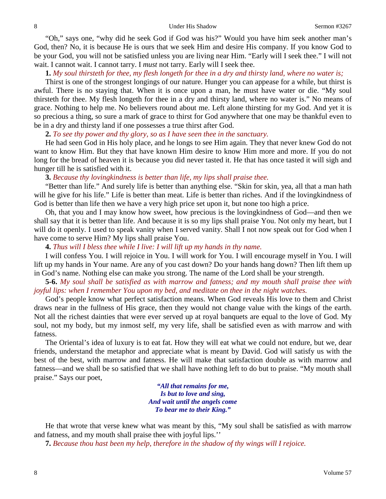"Oh," says one, "why did he seek God if God was his?" Would you have him seek another man's God, then? No, it is because He is ours that we seek Him and desire His company. If you know God to be your God, you will not be satisfied unless you are living near Him. "Early will I seek thee." I will not wait. I cannot wait. I cannot tarry. I *must* not tarry. Early will I seek thee.

**1.** *My soul thirsteth for thee, my flesh longeth for thee in a dry and thirsty land, where no water is;*

Thirst is one of the strongest longings of our nature. Hunger you can appease for a while, but thirst is awful. There is no staying that. When it is once upon a man, he must have water or die. "My soul thirsteth for thee. My flesh longeth for thee in a dry and thirsty land, where no water is." No means of grace. Nothing to help me. No believers round about me. Left alone thirsting for my God. And yet it is so precious a thing, so sure a mark of grace to thirst for God anywhere that one may be thankful even to be in a dry and thirsty land if one possesses a true thirst after God.

**2.** *To see thy power and thy glory, so as I have seen thee in the sanctuary.* 

He had seen God in His holy place, and he longs to see Him again. They that never knew God do not want to know Him. But they that have known Him desire to know Him more and more. If you do not long for the bread of heaven it is because you did never tasted it. He that has once tasted it will sigh and hunger till he is satisfied with it.

#### **3.** *Because thy lovingkindness is better than life, my lips shall praise thee.*

"Better than life." And surely life is better than anything else. "Skin for skin, yea, all that a man hath will he give for his life." Life is better than meat. Life is better than riches. And if the lovingkindness of God is better than life then we have a very high price set upon it, but none too high a price.

Oh, that you and I may know how sweet, how precious is the lovingkindness of God—and then we shall say that it is better than life. And because it is so my lips shall praise You. Not only my heart, but I will do it openly. I used to speak vanity when I served vanity. Shall I not now speak out for God when I have come to serve Him? My lips shall praise You.

**4.** *Thus will I bless thee while I live: I will lift up my hands in thy name.* 

I will confess You. I will rejoice in You. I will work for You. I will encourage myself in You. I will lift up my hands in Your name. Are any of you cast down? Do your hands hang down? Then lift them up in God's name. Nothing else can make you strong. The name of the Lord shall be your strength.

**5-6.** *My soul shall be satisfied as with marrow and fatness; and my mouth shall praise thee with joyful lips: when I remember You upon my bed, and meditate on thee in the night watches.* 

God's people know what perfect satisfaction means. When God reveals His love to them and Christ draws near in the fullness of His grace, then they would not change value with the kings of the earth. Not all the richest dainties that were ever served up at royal banquets are equal to the love of God. My soul, not my body, but my inmost self, my very life, shall be satisfied even as with marrow and with fatness.

The Oriental's idea of luxury is to eat fat. How they will eat what we could not endure, but we, dear friends, understand the metaphor and appreciate what is meant by David. God will satisfy us with the best of the best, with marrow and fatness. He will make that satisfaction double as with marrow and fatness—and we shall be so satisfied that we shall have nothing left to do but to praise. "My mouth shall praise." Says our poet,

> *"All that remains for me, Is but to love and sing, And wait until the angels come To bear me to their King."*

He that wrote that verse knew what was meant by this, "My soul shall be satisfied as with marrow and fatness, and my mouth shall praise thee with joyful lips.''

**7.** *Because thou hast been my help, therefore in the shadow of thy wings will I rejoice.*